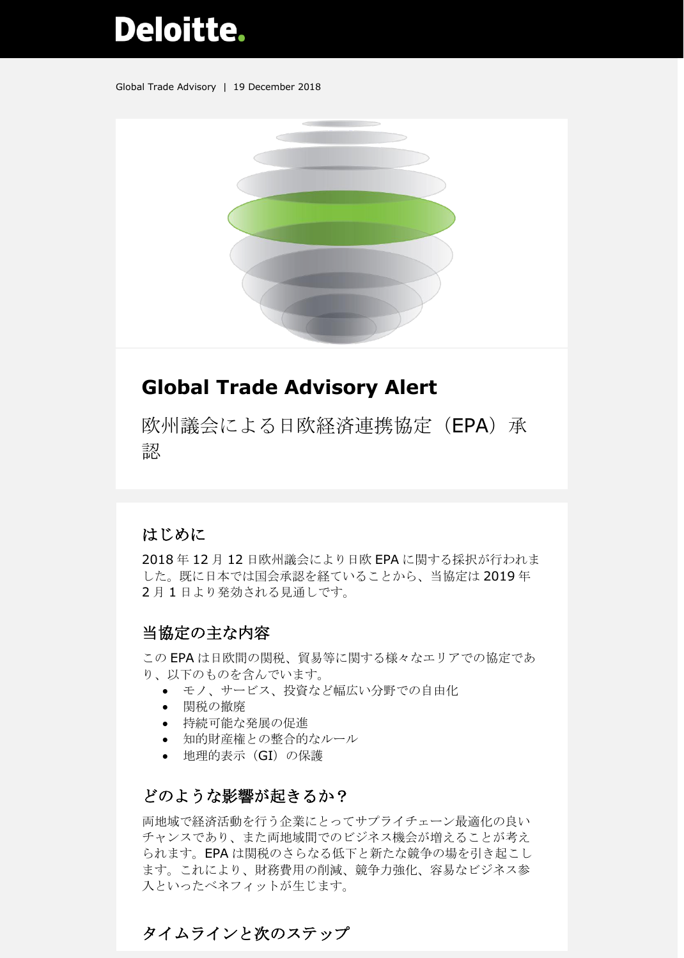# **Deloitte.**

Global Trade Advisory | 19 December 2018



# **Global Trade Advisory Alert**

欧州議会による日欧経済連携協定(EPA)承 認

## はじめに

2018 年 12 月 12 日欧州議会により日欧 EPA に関する採択が行われま した。既に日本では国会承認を経ていることから、当協定は 2019 年 2月1日より発効される見通しです。

#### 当協定の主な内容

この EPA は日欧間の関税、貿易等に関する様々なエリアでの協定であ り、以下のものを含んでいます。

- モノ、サービス、投資など幅広い分野での自由化
- 関税の撤廃
- 持続可能な発展の促進
- 知的財産権との整合的なルール
- 地理的表示(GI)の保護

#### どのような影響が起きるか?

両地域で経済活動を行う企業にとってサプライチェーン最適化の良い チャンスであり、また両地域間でのビジネス機会が増えることが考え られます。EPA は関税のさらなる低下と新たな競争の場を引き起こし ます。これにより、財務費用の削減、競争力強化、容易なビジネス参 入といったベネフィットが生じます。

## タイムラインと次のステップ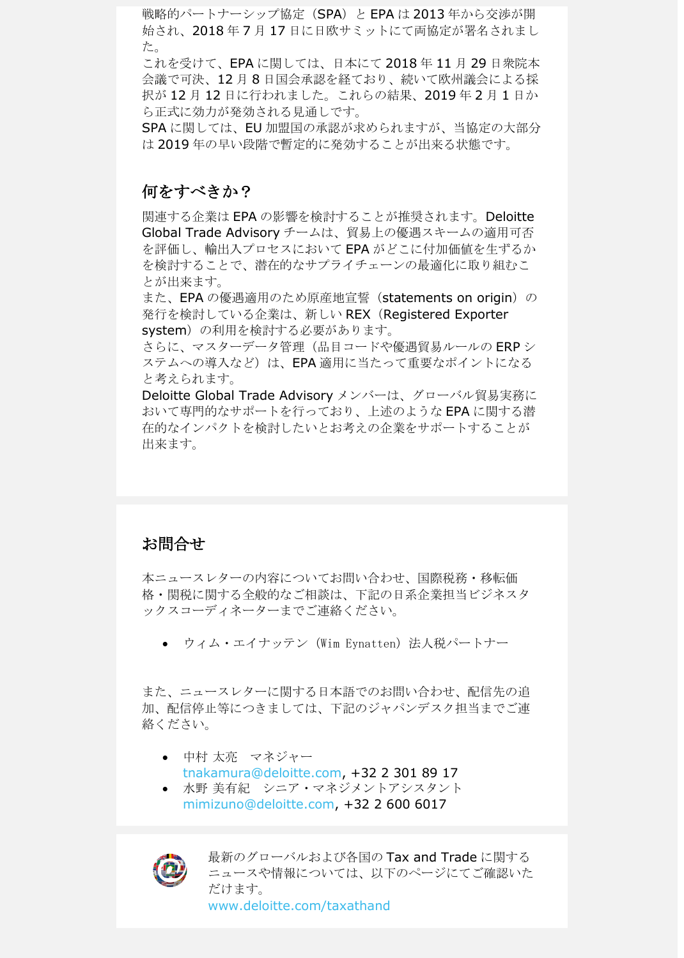戦略的パートナーシップ協定 (SPA) と EPA は 2013年から交渉が開 始され、2018 年 7 月 17 日に日欧サミットにて両協定が署名されまし た。

これを受けて、EPA に関しては、日本にて 2018 年 11 月 29 日衆院本 会議で可決、12 月 8 日国会承認を経ており、続いて欧州議会による採 択が 12 月 12 日に行われました。これらの結果、2019 年 2 月 1 日か ら正式に効力が発効される見通しです。

SPA に関しては、EU 加盟国の承認が求められますが、当協定の大部分 は 2019 年の早い段階で暫定的に発効することが出来る状態です。

#### 何をすべきか?

関連する企業は EPA の影響を検討することが推奨されます。Deloitte Global Trade Advisory チームは、貿易上の優遇スキームの適用可否 を評価し、輸出入プロセスにおいて EPA がどこに付加価値を生ずるか を検討することで、潜在的なサプライチェーンの最適化に取り組むこ とが出来ます。

また、EPA の優遇適用のため原産地宣誓(statements on origin)の 発行を検討している企業は、新しい REX(Registered Exporter system)の利用を検討する必要があります。

さらに、マスターデータ管理(品目コードや優遇貿易ルールの ERP シ ステムへの導入など)は、EPA 適用に当たって重要なポイントになる と考えられます。

Deloitte Global Trade Advisory メンバーは、グローバル貿易実務に おいて専門的なサポートを行っており、上述のような EPA に関する潜 在的なインパクトを検討したいとお考えの企業をサポートすることが 出来ます。

#### お問合せ

本ニュースレターの内容についてお問い合わせ、国際税務・移転価 格・関税に関する全般的なご相談は、下記の日系企業担当ビジネスタ ックスコーディネーターまでご連絡ください。

● ウィム・エイナッテン (Wim Eynatten) 法人税パートナー

また、ニュースレターに関する日本語でのお問い合わせ、配信先の追 加、配信停止等につきましては、下記のジャパンデスク担当までご連 絡ください。

- 中村太亮 マネジャー [tnakamura@deloitte.com,](mailto:tnakamura@deloitte.com) +32 2 301 89 17
- 水野 美有紀 シニア・マネジメントアシスタント [mimizuno@deloitte.com,](mailto:mimizuno@deloitte.com) +32 2 600 6017



最新のグローバルおよび各国の Tax and Trade に関する ニュースや情報については、以下のページにてご確認いた だけます。 [www.deloitte.com/taxathand](http://www.deloitte.com/taxathand)